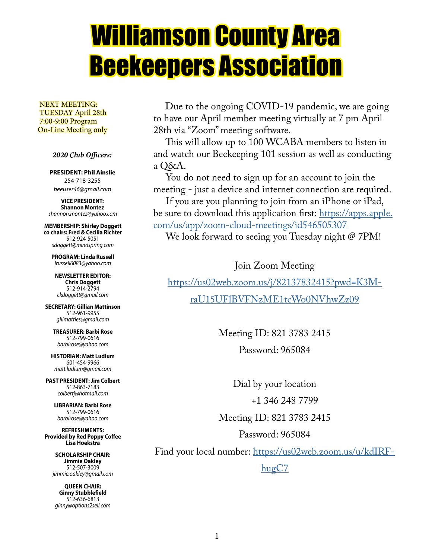# Williamson County Area Beekeepers Association

 NEXT MEETING: TUESDAY April 28th 7:00-9:00 Program On-Line Meeting only

 *2020 Club Officers:*

**PRESIDENT: Phil Ainslie** 254-718-3255 *beeuser46@gmail.com*

**VICE PRESIDENT: Shannon Montez** *shannon.montez@yahoo.com*

**MEMBERSHIP: Shirley Doggett co chairs: Fred & Cecilia Richter** 512-924-5051 *sdoggett@mindspring.com*

**PROGRAM: Linda Russell** *lrussell6083@yahoo.com*

**NEWSLETTER EDITOR: Chris Doggett** 512-914-2794 *ckdoggett@gmail.com*

**SECRETARY: Gillian Mattinson** 512-961-9955 *gillmatties@gmail.com*

**TREASURER: Barbi Rose** 512-799-0616 *barbirose@yahoo.com*

**HISTORIAN: Matt Ludlum** 601-454-9966 *matt.ludlum@gmail.com*

**PAST PRESIDENT: Jim Colbert** 512-863-7183 *colbertj@hotmail.com*

**LIBRARIAN: Barbi Rose** 512-799-0616 *barbirose@yahoo.com*

**REFRESHMENTS: Provided by Red Poppy Coffee Lisa Hoekstra**

> **SCHOLARSHIP CHAIR: Jimmie Oakley** 512-507-3009 *jimmie.oakley@gmail.com*

**QUEEN CHAIR: Ginny Stubblefield** 512-636-6813 *ginny@options2sell.com*

 Due to the ongoing COVID-19 pandemic, we are going to have our April member meeting virtually at 7 pm April 28th via "Zoom" meeting software.

 This will allow up to 100 WCABA members to listen in and watch our Beekeeping 101 session as well as conducting a Q&A.

 You do not need to sign up for an account to join the meeting - just a device and internet connection are required.

 If you are you planning to join from an iPhone or iPad, be sure to download this application first: https://apps.apple. com/us/app/zoom-cloud-meetings/id546505307

We look forward to seeing you Tuesday night  $@$  7PM!

Join Zoom Meeting

https://us02web.zoom.us/j/82137832415?pwd=K3M-

raU15UFlBVFNzME1tcWo0NVhwZz09

Meeting ID: 821 3783 2415 Password: 965084

> Dial by your location +1 346 248 7799

Meeting ID: 821 3783 2415

Password: 965084

Find your local number: https://us02web.zoom.us/u/kdIRF-

hugC7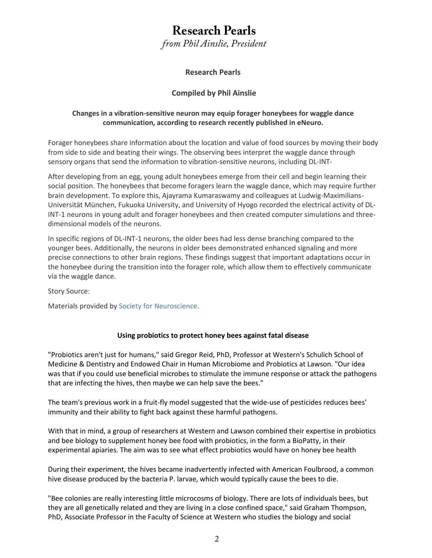# **Research Pearls**

*from Phil Ainslie, President*

### **Research Pearls**

### **Compiled by Phil Ainslie**

### **Changes in a vibration-sensitive neuron may equip forager honeybees for waggle dance communication, according to research recently published in eNeuro.**

Forager honeybees share information about the location and value of food sources by moving their body from side to side and beating their wings. The observing bees interpret the waggle dance through sensory organs that send the information to vibration-sensitive neurons, including DL-INT-

After developing from an egg, young adult honeybees emerge from their cell and begin learning their social position. The honeybees that become foragers learn the waggle dance, which may require further brain development. To explore this, Ajayrama Kumaraswamy and colleagues at Ludwig-Maximilians-Universität München, Fukuoka University, and University of Hyogo recorded the electrical activity of DL-INT-1 neurons in young adult and forager honeybees and then created computer simulations and threedimensional models of the neurons.

In specific regions of DL-INT-1 neurons, the older bees had less dense branching compared to the younger bees. Additionally, the neurons in older bees demonstrated enhanced signaling and more precise connections to other brain regions. These findings suggest that important adaptations occur in the honeybee during the transition into the forager role, which allow them to effectively communicate via the waggle dance.

Story Source:

Materials provided by Society for Neuroscience.

#### **Using probiotics to protect honey bees against fatal disease**

"Probiotics aren't just for humans," said Gregor Reid, PhD, Professor at Western's Schulich School of Medicine & Dentistry and Endowed Chair in Human Microbiome and Probiotics at Lawson. "Our idea was that if you could use beneficial microbes to stimulate the immune response or attack the pathogens that are infecting the hives, then maybe we can help save the bees."

The team's previous work in a fruit-fly model suggested that the wide-use of pesticides reduces bees' immunity and their ability to fight back against these harmful pathogens.

With that in mind, a group of researchers at Western and Lawson combined their expertise in probiotics and bee biology to supplement honey bee food with probiotics, in the form a BioPatty, in their experimental apiaries. The aim was to see what effect probiotics would have on honey bee health

During their experiment, the hives became inadvertently infected with American Foulbrood, a common hive disease produced by the bacteria P. larvae, which would typically cause the bees to die.

"Bee colonies are really interesting little microcosms of biology. There are lots of individuals bees, but they are all genetically related and they are living in a close confined space," said Graham Thompson, PhD, Associate Professor in the Faculty of Science at Western who studies the biology and social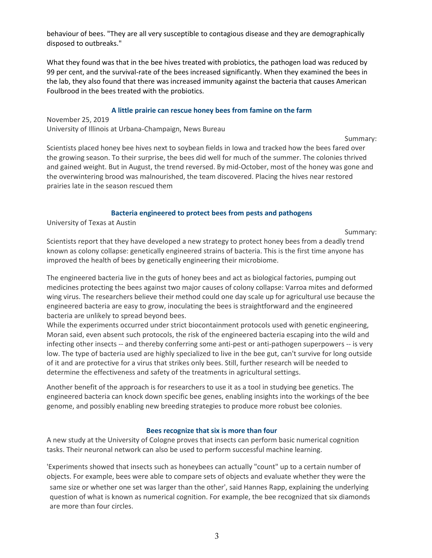behaviour of bees. "They are all very susceptible to contagious disease and they are demographically disposed to outbreaks."

What they found was that in the bee hives treated with probiotics, the pathogen load was reduced by 99 per cent, and the survival-rate of the bees increased significantly. When they examined the bees in the lab, they also found that there was increased immunity against the bacteria that causes American Foulbrood in the bees treated with the probiotics.

#### **A little prairie can rescue honey bees from famine on the farm**

November 25, 2019 University of Illinois at Urbana-Champaign, News Bureau

Summary:

Scientists placed honey bee hives next to soybean fields in Iowa and tracked how the bees fared over the growing season. To their surprise, the bees did well for much of the summer. The colonies thrived and gained weight. But in August, the trend reversed. By mid-October, most of the honey was gone and the overwintering brood was malnourished, the team discovered. Placing the hives near restored prairies late in the season rescued them

#### **Bacteria engineered to protect bees from pests and pathogens**

University of Texas at Austin

Summary:

Scientists report that they have developed a new strategy to protect honey bees from a deadly trend known as colony collapse: genetically engineered strains of bacteria. This is the first time anyone has improved the health of bees by genetically engineering their microbiome.

The engineered bacteria live in the guts of honey bees and act as biological factories, pumping out medicines protecting the bees against two major causes of colony collapse: Varroa mites and deformed wing virus. The researchers believe their method could one day scale up for agricultural use because the engineered bacteria are easy to grow, inoculating the bees is straightforward and the engineered bacteria are unlikely to spread beyond bees.

While the experiments occurred under strict biocontainment protocols used with genetic engineering, Moran said, even absent such protocols, the risk of the engineered bacteria escaping into the wild and infecting other insects -- and thereby conferring some anti-pest or anti-pathogen superpowers -- is very low. The type of bacteria used are highly specialized to live in the bee gut, can't survive for long outside of it and are protective for a virus that strikes only bees. Still, further research will be needed to determine the effectiveness and safety of the treatments in agricultural settings.

Another benefit of the approach is for researchers to use it as a tool in studying bee genetics. The engineered bacteria can knock down specific bee genes, enabling insights into the workings of the bee genome, and possibly enabling new breeding strategies to produce more robust bee colonies.

#### **Bees recognize that six is more than four**

A new study at the University of Cologne proves that insects can perform basic numerical cognition tasks. Their neuronal network can also be used to perform successful machine learning.

'Experiments showed that insects such as honeybees can actually "count" up to a certain number of objects. For example, bees were able to compare sets of objects and evaluate whether they were the same size or whether one set was larger than the other', said Hannes Rapp, explaining the underlying question of what is known as numerical cognition. For example, the bee recognized that six diamonds are more than four circles.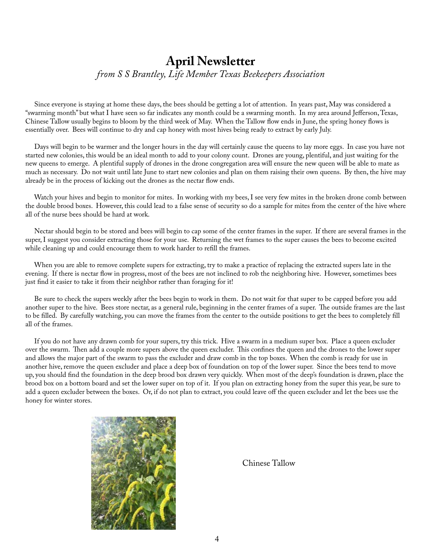# **April Newsletter** *from S S Brantley, Life Member Texas Beekeepers Association*

 Since everyone is staying at home these days, the bees should be getting a lot of attention. In years past, May was considered a "swarming month" but what I have seen so far indicates any month could be a swarming month. In my area around Jefferson, Texas, Chinese Tallow usually begins to bloom by the third week of May. When the Tallow flow ends in June, the spring honey flows is essentially over. Bees will continue to dry and cap honey with most hives being ready to extract by early July.

 Days will begin to be warmer and the longer hours in the day will certainly cause the queens to lay more eggs. In case you have not started new colonies, this would be an ideal month to add to your colony count. Drones are young, plentiful, and just waiting for the new queens to emerge. A plentiful supply of drones in the drone congregation area will ensure the new queen will be able to mate as much as necessary. Do not wait until late June to start new colonies and plan on them raising their own queens. By then, the hive may already be in the process of kicking out the drones as the nectar flow ends.

 Watch your hives and begin to monitor for mites. In working with my bees, I see very few mites in the broken drone comb between the double brood boxes. However, this could lead to a false sense of security so do a sample for mites from the center of the hive where all of the nurse bees should be hard at work.

 Nectar should begin to be stored and bees will begin to cap some of the center frames in the super. If there are several frames in the super, I suggest you consider extracting those for your use. Returning the wet frames to the super causes the bees to become excited while cleaning up and could encourage them to work harder to refill the frames.

 When you are able to remove complete supers for extracting, try to make a practice of replacing the extracted supers late in the evening. If there is nectar flow in progress, most of the bees are not inclined to rob the neighboring hive. However, sometimes bees just find it easier to take it from their neighbor rather than foraging for it!

 Be sure to check the supers weekly after the bees begin to work in them. Do not wait for that super to be capped before you add another super to the hive. Bees store nectar, as a general rule, beginning in the center frames of a super. The outside frames are the last to be filled. By carefully watching, you can move the frames from the center to the outside positions to get the bees to completely fill all of the frames.

 If you do not have any drawn comb for your supers, try this trick. Hive a swarm in a medium super box. Place a queen excluder over the swarm. Then add a couple more supers above the queen excluder. This confines the queen and the drones to the lower super and allows the major part of the swarm to pass the excluder and draw comb in the top boxes. When the comb is ready for use in another hive, remove the queen excluder and place a deep box of foundation on top of the lower super. Since the bees tend to move up, you should find the foundation in the deep brood box drawn very quickly. When most of the deep's foundation is drawn, place the brood box on a bottom board and set the lower super on top of it. If you plan on extracting honey from the super this year, be sure to add a queen excluder between the boxes. Or, if do not plan to extract, you could leave off the queen excluder and let the bees use the honey for winter stores.



Chinese Tallow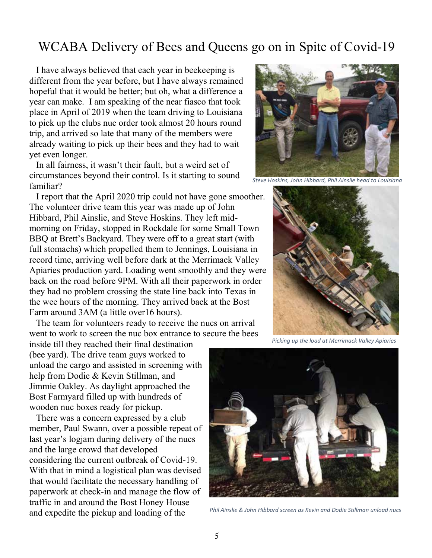# WCABA Delivery of Bees and Queens go on in Spite of Covid-19

 I have always believed that each year in beekeeping is different from the year before, but I have always remained hopeful that it would be better; but oh, what a difference a year can make. I am speaking of the near fiasco that took place in April of 2019 when the team driving to Louisiana to pick up the clubs nuc order took almost 20 hours round trip, and arrived so late that many of the members were already waiting to pick up their bees and they had to wait yet even longer.

 In all fairness, it wasn't their fault, but a weird set of circumstances beyond their control. Is it starting to sound familiar?

 I report that the April 2020 trip could not have gone smoother. The volunteer drive team this year was made up of John Hibbard, Phil Ainslie, and Steve Hoskins. They left midmorning on Friday, stopped in Rockdale for some Small Town BBQ at Brett's Backyard. They were off to a great start (with full stomachs) which propelled them to Jennings, Louisiana in record time, arriving well before dark at the Merrimack Valley Apiaries production yard. Loading went smoothly and they were back on the road before 9PM. With all their paperwork in order they had no problem crossing the state line back into Texas in the wee hours of the morning. They arrived back at the Bost Farm around 3AM (a little over16 hours).

 The team for volunteers ready to receive the nucs on arrival went to work to screen the nuc box entrance to secure the bees

inside till they reached their final destination (bee yard). The drive team guys worked to unload the cargo and assisted in screening with help from Dodie & Kevin Stillman, and Jimmie Oakley. As daylight approached the Bost Farmyard filled up with hundreds of wooden nuc boxes ready for pickup.

 There was a concern expressed by a club member, Paul Swann, over a possible repeat of last year's logjam during delivery of the nucs and the large crowd that developed considering the current outbreak of Covid-19. With that in mind a logistical plan was devised that would facilitate the necessary handling of paperwork at check-in and manage the flow of traffic in and around the Bost Honey House and expedite the pickup and loading of the



*Steve Hoskins, John Hibbard, Phil Ainslie head to Louisiana*



*Picking up the load at Merrimack Valley Apiaries*



*Phil Ainslie & John Hibbard screen as Kevin and Dodie Stillman unload nucs*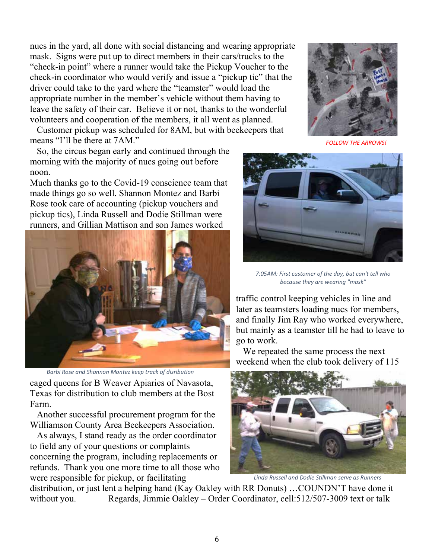nucs in the yard, all done with social distancing and wearing appropriate mask. Signs were put up to direct members in their cars/trucks to the "check-in point" where a runner would take the Pickup Voucher to the check-in coordinator who would verify and issue a "pickup tic" that the driver could take to the yard where the "teamster" would load the appropriate number in the member's vehicle without them having to leave the safety of their car. Believe it or not, thanks to the wonderful volunteers and cooperation of the members, it all went as planned.

Customer pickup was scheduled for 8AM, but with beekeepers that means "I'll be there at 7AM."

So, the circus began early and continued through the morning with the majority of nucs going out before noon.

Much thanks go to the Covid-19 conscience team that made things go so well. Shannon Montez and Barbi Rose took care of accounting (pickup vouchers and pickup tics), Linda Russell and Dodie Stillman were runners, and Gillian Mattison and son James worked



*Barbi Rose and Shannon Montez keep track of disribution*

caged queens for B Weaver Apiaries of Navasota, Texas for distribution to club members at the Bost Farm.

Another successful procurement program for the Williamson County Area Beekeepers Association.

As always, I stand ready as the order coordinator to field any of your questions or complaints concerning the program, including replacements or refunds. Thank you one more time to all those who were responsible for pickup, or facilitating



*FOLLOW THE ARROWS!*



*7:05AM: First customer of the day, but can't tell who because they are wearing "mask"*

traffic control keeping vehicles in line and later as teamsters loading nucs for members, and finally Jim Ray who worked everywhere, but mainly as a teamster till he had to leave to go to work.

We repeated the same process the next weekend when the club took delivery of 115



*Linda Russell and Dodie Stillman serve as Runners*

distribution, or just lent a helping hand (Kay Oakley with RR Donuts) …COUNDN'T have done it without you. Regards, Jimmie Oakley – Order Coordinator, cell:512/507-3009 text or talk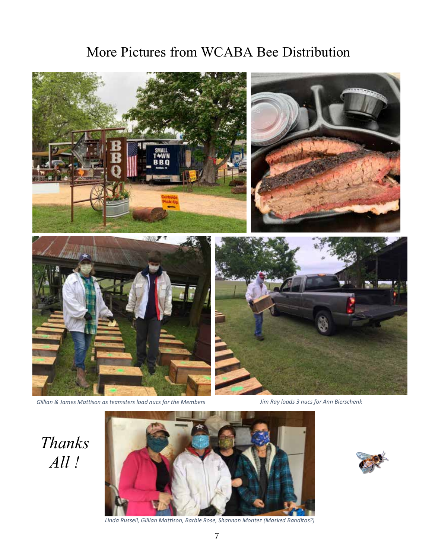# More Pictures from WCABA Bee Distribution



*Gillian & James Mattison as teamsters load nucs for the Members Jim Ray loads 3 nucs for Ann Bierschenk*

*Thanks All !*



*Linda Russell, Gillian Mattison, Barbie Rose, Shannon Montez (Masked Banditos?)*

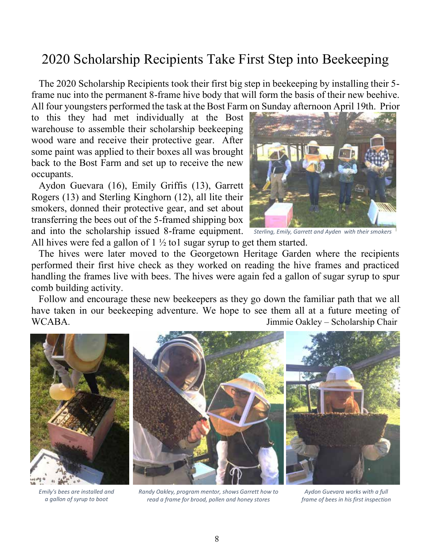# 2020 Scholarship Recipients Take First Step into Beekeeping

 The 2020 Scholarship Recipients took their first big step in beekeeping by installing their 5 frame nuc into the permanent 8-frame hive body that will form the basis of their new beehive. All four youngsters performed the task at the Bost Farm on Sunday afternoon April 19th. Prior

to this they had met individually at the Bost warehouse to assemble their scholarship beekeeping wood ware and receive their protective gear. After some paint was applied to their boxes all was brought back to the Bost Farm and set up to receive the new occupants.

 Aydon Guevara (16), Emily Griffis (13), Garrett Rogers (13) and Sterling Kinghorn (12), all lite their smokers, donned their protective gear, and set about transferring the bees out of the 5-framed shipping box and into the scholarship issued 8-frame equipment. *Sterling, Emily, Garrett and Ayden with their smokers* 



All hives were fed a gallon of  $1 \frac{1}{2}$  to l sugar syrup to get them started.

 The hives were later moved to the Georgetown Heritage Garden where the recipients performed their first hive check as they worked on reading the hive frames and practiced handling the frames live with bees. The hives were again fed a gallon of sugar syrup to spur comb building activity.

 Follow and encourage these new beekeepers as they go down the familiar path that we all have taken in our beekeeping adventure. We hope to see them all at a future meeting of WCABA. Jimmie Oakley – Scholarship Chair



*Randy Oakley, program mentor, shows Garrett how to read a frame for brood, pollen and honey stores*

*a gallon of syrup to boot*

*Aydon Guevara works with a full frame of bees in his first inspection*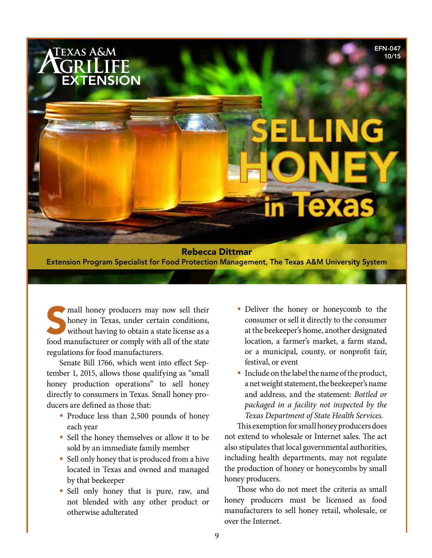

Extension Program Specialist for Food Protection Management, The Texas A&M University System

mall honey producers may now sell their<br>honey in Texas, under certain conditions,<br>without having to obtain a state license as a<br>food manufacturer or comply with all of the state honey in Texas, under certain conditions, without having to obtain a state license as a food manufacturer or comply with all of the state regulations for food manufacturers.

Senate Bill 1766, which went into effect September 1, 2015, allows those qualifying as "small honey production operations" to sell honey directly to consumers in Texas. Small honey producers are defined as those that:

- Produce less than 2,500 pounds of honey each year
- Sell the honey themselves or allow it to be sold by an immediate family member
- Sell only honey that is produced from a hive located in Texas and owned and managed by that beekeeper
- Sell only honey that is pure, raw, and not blended with any other product or otherwise adulterated
- Deliver the honey or honeycomb to the consumer or sell it directly to the consumer at the beekeeper's home, another designated location, a farmer's market, a farm stand, or a municipal, county, or nonprofit fair, festival, or event
- Include on the label the name of the product, a net weight statement, the beekeeper's name and address, and the statement: *Bottled or packaged in a facility not inspected by the Texas Department of State Health Services.*

This exemption for small honey producers does not extend to wholesale or Internet sales. The act also stipulates that local governmental authorities, including health departments, may not regulate the production of honey or honeycombs by small honey producers.

Those who do not meet the criteria as small honey producers must be licensed as food manufacturers to sell honey retail, wholesale, or over the Internet.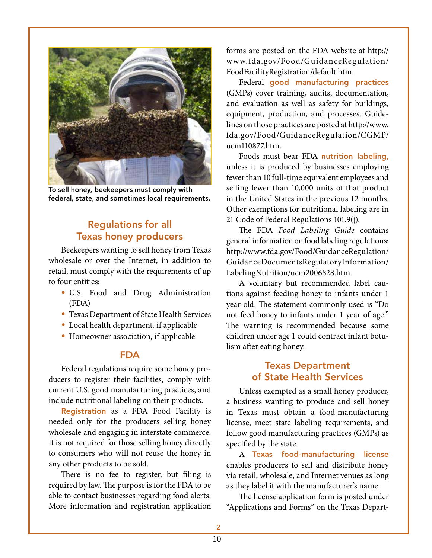

To sell honey, beekeepers must comply with federal, state, and sometimes local requirements.

## Regulations for all Texas honey producers

Beekeepers wanting to sell honey from Texas wholesale or over the Internet, in addition to retail, must comply with the requirements of up to four entities:

- U.S. Food and Drug Administration (FDA)
- Texas Department of State Health Services
- Local health department, if applicable
- Homeowner association, if applicable

### FDA

Federal regulations require some honey producers to register their facilities, comply with current U.S. good manufacturing practices, and include nutritional labeling on their products.

Registration as a FDA Food Facility is needed only for the producers selling honey wholesale and engaging in interstate commerce. It is not required for those selling honey directly to consumers who will not reuse the honey in any other products to be sold.

There is no fee to register, but filing is required by law. The purpose is for the FDA to be able to contact businesses regarding food alerts. More information and registration application forms are posted on the FDA website at http:// www.fda.gov/Food/GuidanceRegulation/ FoodFacilityRegistration/default.htm.

Federal good manufacturing practices (GMPs) cover training, audits, documentation, and evaluation as well as safety for buildings, equipment, production, and processes. Guidelines on those practices are posted at http://www. fda.gov/Food/GuidanceRegulation/CGMP/ ucm110877.htm.

Foods must bear FDA nutrition labeling, unless it is produced by businesses employing fewer than 10 full-time equivalent employees and selling fewer than 10,000 units of that product in the United States in the previous 12 months. Other exemptions for nutritional labeling are in 21 Code of Federal Regulations 101.9(j).

The FDA *Food Labeling Guide* contains general information on food labeling regulations: http://www.fda.gov/Food/GuidanceRegulation/ GuidanceDocumentsRegulatoryInformation/ LabelingNutrition/ucm2006828.htm.

A voluntary but recommended label cautions against feeding honey to infants under 1 year old. The statement commonly used is "Do not feed honey to infants under 1 year of age." The warning is recommended because some children under age 1 could contract infant botulism after eating honey.

### Texas Department of State Health Services

Unless exempted as a small honey producer, a business wanting to produce and sell honey in Texas must obtain a food-manufacturing license, meet state labeling requirements, and follow good manufacturing practices (GMPs) as specified by the state.

A Texas food-manufacturing license enables producers to sell and distribute honey via retail, wholesale, and Internet venues as long as they label it with the manufacturer's name.

The license application form is posted under "Applications and Forms" on the Texas Depart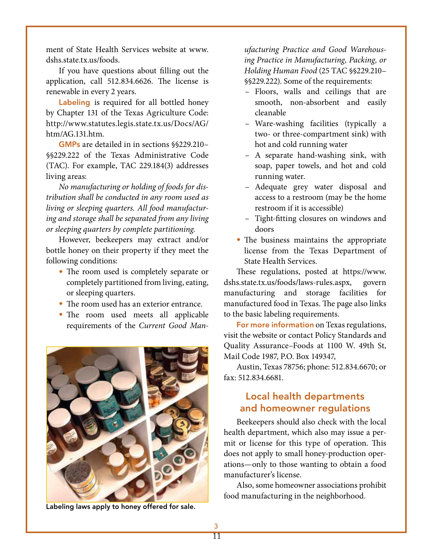ment of State Health Services website at www. dshs.state.tx.us/foods.

If you have questions about filling out the application, call 512.834.6626. The license is renewable in every 2 years.

Labeling is required for all bottled honey by Chapter 131 of the Texas Agriculture Code: http://www.statutes.legis.state.tx.us/Docs/AG/ htm/AG.131.htm.

GMPs are detailed in in sections §§229.210– §§229.222 of the Texas Administrative Code (TAC). For example, TAC 229.184(3) addresses living areas:

*No manufacturing or holding of foods for distribution shall be conducted in any room used as living or sleeping quarters. All food manufacturing and storage shall be separated from any living or sleeping quarters by complete partitioning.* 

However, beekeepers may extract and/or bottle honey on their property if they meet the following conditions:

- The room used is completely separate or completely partitioned from living, eating, or sleeping quarters.
- The room used has an exterior entrance.
- The room used meets all applicable requirements of the *Current Good Man-*



Labeling laws apply to honey offered for sale.

*ufacturing Practice and Good Warehousing Practice in Manufacturing, Packing, or Holding Human Food* (25 TAC §§229.210– §§229.222). Some of the requirements:

- Floors, walls and ceilings that are smooth, non-absorbent and easily cleanable
- Ware-washing facilities (typically a two- or three-compartment sink) with hot and cold running water
- A separate hand-washing sink, with soap, paper towels, and hot and cold running water.
- Adequate grey water disposal and access to a restroom (may be the home restroom if it is accessible)
- Tight-fitting closures on windows and doors
- The business maintains the appropriate license from the Texas Department of State Health Services.

These regulations, posted at https://www. dshs.state.tx.us/foods/laws-rules.aspx, govern manufacturing and storage facilities for manufactured food in Texas. The page also links to the basic labeling requirements.

For more information on Texas regulations, visit the website or contact Policy Standards and Quality Assurance–Foods at 1100 W. 49th St, Mail Code 1987, P.O. Box 149347,

Austin, Texas 78756; phone: 512.834.6670; or fax: 512.834.6681.

## Local health departments and homeowner regulations

Beekeepers should also check with the local health department, which also may issue a permit or license for this type of operation. This does not apply to small honey-production operations—only to those wanting to obtain a food manufacturer's license.

Also, some homeowner associations prohibit food manufacturing in the neighborhood.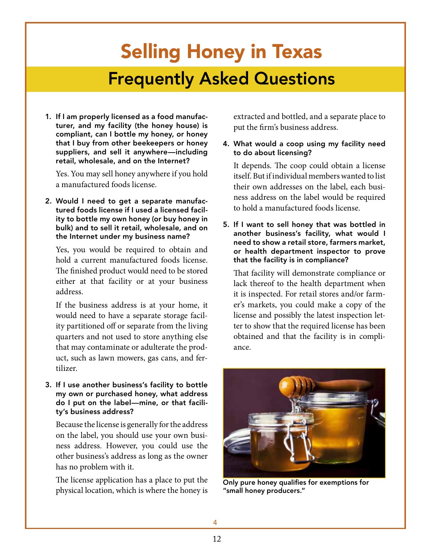# Selling Honey in Texas Frequently Asked Questions

1. If I am properly licensed as a food manufacturer, and my facility (the honey house) is compliant, can I bottle my honey, or honey that I buy from other beekeepers or honey suppliers, and sell it anywhere—including retail, wholesale, and on the Internet?

Yes. You may sell honey anywhere if you hold a manufactured foods license.

2. Would I need to get a separate manufactured foods license if I used a licensed facility to bottle my own honey (or buy honey in bulk) and to sell it retail, wholesale, and on the Internet under my business name?

Yes, you would be required to obtain and hold a current manufactured foods license. The finished product would need to be stored either at that facility or at your business address.

If the business address is at your home, it would need to have a separate storage facility partitioned off or separate from the living quarters and not used to store anything else that may contaminate or adulterate the product, such as lawn mowers, gas cans, and fertilizer.

3. If I use another business's facility to bottle my own or purchased honey, what address do I put on the label—mine, or that facility's business address?

Because the license is generally for the address on the label, you should use your own business address. However, you could use the other business's address as long as the owner has no problem with it.

The license application has a place to put the physical location, which is where the honey is extracted and bottled, and a separate place to put the firm's business address.

### 4. What would a coop using my facility need to do about licensing?

It depends. The coop could obtain a license itself. But if individual members wanted to list their own addresses on the label, each business address on the label would be required to hold a manufactured foods license.

5. If I want to sell honey that was bottled in another business's facility, what would I need to show a retail store, farmers market, or health department inspector to prove that the facility is in compliance?

That facility will demonstrate compliance or lack thereof to the health department when it is inspected. For retail stores and/or farmer's markets, you could make a copy of the license and possibly the latest inspection letter to show that the required license has been obtained and that the facility is in compliance.



Only pure honey qualifies for exemptions for "small honey producers."